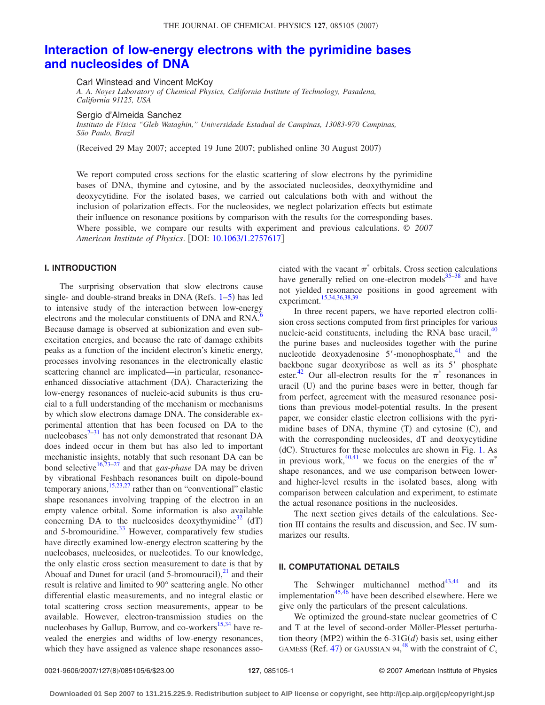# **[Interaction of low-energy electrons with the pyrimidine bases](http://dx.doi.org/10.1063/1.2757617) [and nucleosides of DNA](http://dx.doi.org/10.1063/1.2757617)**

Carl Winstead and Vincent McKoy

*A. A. Noyes Laboratory of Chemical Physics, California Institute of Technology, Pasadena, California 91125, USA*

Sergio d'Almeida Sanchez

*Instituto de Física "Gleb Wataghin," Universidade Estadual de Campinas, 13083-970 Campinas, São Paulo, Brazil*

Received 29 May 2007; accepted 19 June 2007; published online 30 August 2007-

We report computed cross sections for the elastic scattering of slow electrons by the pyrimidine bases of DNA, thymine and cytosine, and by the associated nucleosides, deoxythymidine and deoxycytidine. For the isolated bases, we carried out calculations both with and without the inclusion of polarization effects. For the nucleosides, we neglect polarization effects but estimate their influence on resonance positions by comparison with the results for the corresponding bases. Where possible, we compare our results with experiment and previous calculations. © *2007 American Institute of Physics*. DOI: [10.1063/1.2757617](http://dx.doi.org/10.1063/1.2757617)

## **I. INTRODUCTION**

The surprising observation that slow electrons cause single- and double-strand breaks in DNA (Refs.  $1-5$  $1-5$ ) has led to intensive study of the interaction between low-energy electrons and the molecular constituents of DNA and RNA.<sup>6</sup> Because damage is observed at subionization and even subexcitation energies, and because the rate of damage exhibits peaks as a function of the incident electron's kinetic energy, processes involving resonances in the electronically elastic scattering channel are implicated—in particular, resonanceenhanced dissociative attachment (DA). Characterizing the low-energy resonances of nucleic-acid subunits is thus crucial to a full understanding of the mechanism or mechanisms by which slow electrons damage DNA. The considerable experimental attention that has been focused on DA to the nucleobases $7-31$  has not only demonstrated that resonant DA does indeed occur in them but has also led to important mechanistic insights, notably that such resonant DA can be bond selective<sup>16[,23–](#page-5-6)[27](#page-5-7)</sup> and that *gas-phase* DA may be driven by vibrational Feshbach resonances built on dipole-bound temporary anions, $15,23,27$  $15,23,27$  $15,23,27$  rather than on "conventional" elastic shape resonances involving trapping of the electron in an empty valence orbital. Some information is also available concerning DA to the nucleosides deoxythymidine<sup>32</sup> (dT) and 5-bromouridine.<sup>33</sup> However, comparatively few studies have directly examined low-energy electron scattering by the nucleobases, nucleosides, or nucleotides. To our knowledge, the only elastic cross section measurement to date is that by Abouaf and Dunet for uracil (and 5-bromouracil), $^{21}$  $^{21}$  $^{21}$  and their result is relative and limited to 90° scattering angle. No other differential elastic measurements, and no integral elastic or total scattering cross section measurements, appear to be available. However, electron-transmission studies on the nucleobases by Gallup, Burrow, and co-workers<sup>15,[34](#page-5-12)</sup> have revealed the energies and widths of low-energy resonances, which they have assigned as valence shape resonances associated with the vacant  $\pi^*$  orbitals. Cross section calculations have generally relied on one-electron models $35-38$  and have not yielded resonance positions in good agreement with experiment[.15,](#page-5-8)[34,](#page-5-12)[36](#page-5-15)[,38,](#page-5-14)[39](#page-5-16)

In three recent papers, we have reported electron collision cross sections computed from first principles for various nucleic-acid constituents, including the RNA base uracil, $40$ the purine bases and nucleosides together with the purine nucleotide deoxyadenosine  $5'$ -monophosphate, $41$  and the backbone sugar deoxyribose as well as its 5' phosphate ester.<sup>42</sup> Our all-electron results for the  $\pi^*$  resonances in uracil (U) and the purine bases were in better, though far from perfect, agreement with the measured resonance positions than previous model-potential results. In the present paper, we consider elastic electron collisions with the pyrimidine bases of DNA, thymine (T) and cytosine (C), and with the corresponding nucleosides, dT and deoxycytidine (dC). Structures for these molecules are shown in Fig. [1.](#page-1-0) As in previous work,<sup>40,[41](#page-5-18)</sup> we focus on the energies of the  $\pi^*$ shape resonances, and we use comparison between lowerand higher-level results in the isolated bases, along with comparison between calculation and experiment, to estimate the actual resonance positions in the nucleosides.

The next section gives details of the calculations. Section III contains the results and discussion, and Sec. IV summarizes our results.

## **II. COMPUTATIONAL DETAILS**

The Schwinger multichannel method<sup>43,[44](#page-5-21)</sup> and its implementation $45,46$  $45,46$  have been described elsewhere. Here we give only the particulars of the present calculations.

We optimized the ground-state nuclear geometries of C and T at the level of second-order Möller-Plesset perturbation theory (MP2) within the  $6-31G(d)$  basis set, using either GAMESS (Ref. [47](#page-5-24)) or GAUSSIAN 94,<sup>[48](#page-5-25)</sup> with the constraint of  $C_s$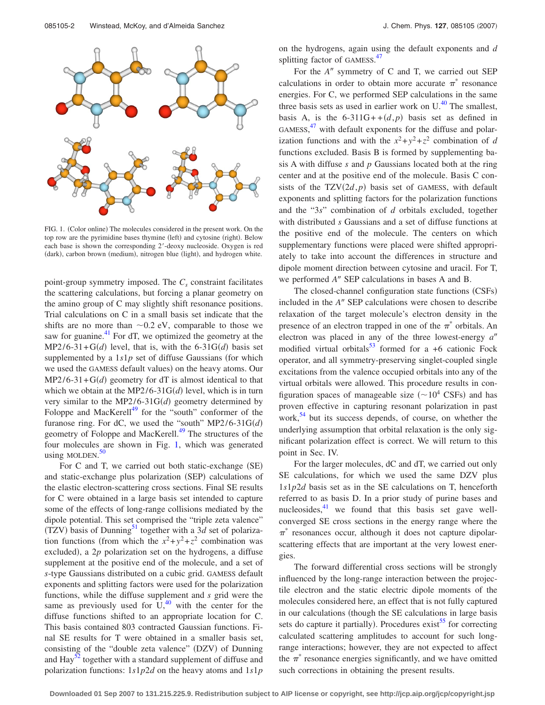<span id="page-1-0"></span>

FIG. 1. (Color online) The molecules considered in the present work. On the top row are the pyrimidine bases thymine (left) and cytosine (right). Below each base is shown the corresponding 2-deoxy nucleoside. Oxygen is red (dark), carbon brown (medium), nitrogen blue (light), and hydrogen white.

point-group symmetry imposed. The  $C_s$  constraint facilitates the scattering calculations, but forcing a planar geometry on the amino group of C may slightly shift resonance positions. Trial calculations on C in a small basis set indicate that the shifts are no more than  $\sim 0.2$  eV, comparable to those we saw for guanine. $41$  For dT, we optimized the geometry at the  $MP2/6-31+G(d)$  level, that is, with the 6-31G $(d)$  basis set supplemented by a  $1s1p$  set of diffuse Gaussians (for which we used the GAMESS default values) on the heavy atoms. Our  $MP2/6-31+G(d)$  geometry for dT is almost identical to that which we obtain at the MP2/6-31 $G(d)$  level, which is in turn very similar to the MP2/6-31 $G(d)$  geometry determined by Foloppe and MacKerell $49$  for the "south" conformer of the furanose ring. For dC, we used the "south"  $MP2/6-31G(d)$ geometry of Foloppe and MacKerell.<sup>49</sup> The structures of the four molecules are shown in Fig. [1,](#page-1-0) which was generated using MOLDEN.<sup>[50](#page-5-27)</sup>

For C and T, we carried out both static-exchange (SE) and static-exchange plus polarization (SEP) calculations of the elastic electron-scattering cross sections. Final SE results for C were obtained in a large basis set intended to capture some of the effects of long-range collisions mediated by the dipole potential. This set comprised the "triple zeta valence"  $(TZV)$  basis of Dunning<sup>51</sup> together with a 3*d* set of polarization functions (from which the  $x^2+y^2+z^2$  combination was excluded), a  $2p$  polarization set on the hydrogens, a diffuse supplement at the positive end of the molecule, and a set of *s*-type Gaussians distributed on a cubic grid. GAMESS default exponents and splitting factors were used for the polarization functions, while the diffuse supplement and *s* grid were the same as previously used for  $U<sub>1</sub><sup>40</sup>$  with the center for the diffuse functions shifted to an appropriate location for C. This basis contained 803 contracted Gaussian functions. Final SE results for T were obtained in a smaller basis set, consisting of the "double zeta valence" (DZV) of Dunning and  $\text{Hay}^{52}$  together with a standard supplement of diffuse and polarization functions: 1*s*1*p*2*d* on the heavy atoms and 1*s*1*p* on the hydrogens, again using the default exponents and *d* splitting factor of GAMESS.<sup>[47](#page-5-24)</sup>

For the *A*<sup>*''*</sup> symmetry of C and T, we carried out SEP calculations in order to obtain more accurate  $\pi^*$  resonance energies. For C, we performed SEP calculations in the same three basis sets as used in earlier work on  $U<sup>40</sup>$ . The smallest, basis A, is the  $6-311G + (d,p)$  basis set as defined in GAMESS,<sup>[47](#page-5-24)</sup> with default exponents for the diffuse and polarization functions and with the  $x^2 + y^2 + z^2$  combination of *d* functions excluded. Basis B is formed by supplementing basis A with diffuse *s* and *p* Gaussians located both at the ring center and at the positive end of the molecule. Basis C consists of the  $TZV(2d, p)$  basis set of GAMESS, with default exponents and splitting factors for the polarization functions and the "3*s*" combination of *d* orbitals excluded, together with distributed *s* Gaussians and a set of diffuse functions at the positive end of the molecule. The centers on which supplementary functions were placed were shifted appropriately to take into account the differences in structure and dipole moment direction between cytosine and uracil. For T, we performed A" SEP calculations in bases A and B.

The closed-channel configuration state functions (CSFs) included in the *A*<sup>"</sup> SEP calculations were chosen to describe relaxation of the target molecule's electron density in the presence of an electron trapped in one of the  $\pi^*$  orbitals. An electron was placed in any of the three lowest-energy  $a''$ modified virtual orbitals<sup>53</sup> formed for a +6 cationic Fock operator, and all symmetry-preserving singlet-coupled single excitations from the valence occupied orbitals into any of the virtual orbitals were allowed. This procedure results in configuration spaces of manageable size  $({\sim}10^4 \text{ CSFs})$  and has proven effective in capturing resonant polarization in past work,<sup>54</sup> but its success depends, of course, on whether the underlying assumption that orbital relaxation is the only significant polarization effect is correct. We will return to this point in Sec. IV.

For the larger molecules, dC and dT, we carried out only SE calculations, for which we used the same DZV plus 1*s*1*p*2*d* basis set as in the SE calculations on T, henceforth referred to as basis D. In a prior study of purine bases and nucleosides, $41$  we found that this basis set gave wellconverged SE cross sections in the energy range where the  $\pi^*$  resonances occur, although it does not capture dipolarscattering effects that are important at the very lowest energies.

The forward differential cross sections will be strongly influenced by the long-range interaction between the projectile electron and the static electric dipole moments of the molecules considered here, an effect that is not fully captured in our calculations (though the SE calculations in large basis sets do capture it partially). Procedures exist<sup>55</sup> for correcting calculated scattering amplitudes to account for such longrange interactions; however, they are not expected to affect the  $\pi^*$  resonance energies significantly, and we have omitted such corrections in obtaining the present results.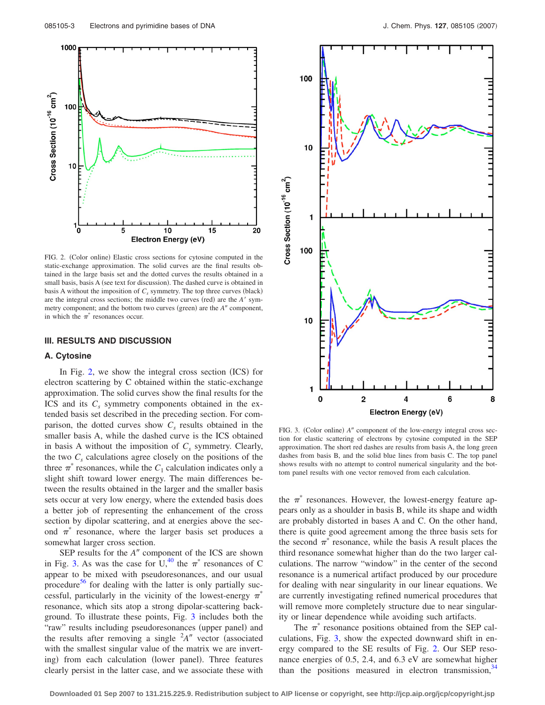<span id="page-2-0"></span>

FIG. 2. (Color online) Elastic cross sections for cytosine computed in the static-exchange approximation. The solid curves are the final results obtained in the large basis set and the dotted curves the results obtained in a small basis, basis A (see text for discussion). The dashed curve is obtained in basis A without the imposition of  $C_s$  symmetry. The top three curves (black) are the integral cross sections; the middle two curves (red) are the *A'* symmetry component; and the bottom two curves (green) are the *A*<sup>*n*</sup> component, in which the  $\pi^*$  resonances occur.

#### **III. RESULTS AND DISCUSSION**

## **A. Cytosine**

In Fig. [2,](#page-2-0) we show the integral cross section  $(ICS)$  for electron scattering by C obtained within the static-exchange approximation. The solid curves show the final results for the ICS and its  $C_s$  symmetry components obtained in the extended basis set described in the preceding section. For comparison, the dotted curves show  $C<sub>s</sub>$  results obtained in the smaller basis A, while the dashed curve is the ICS obtained in basis A without the imposition of  $C_s$  symmetry. Clearly, the two  $C_s$  calculations agree closely on the positions of the three  $\pi$ <sup>\*</sup> resonances, while the  $C_1$  calculation indicates only a slight shift toward lower energy. The main differences between the results obtained in the larger and the smaller basis sets occur at very low energy, where the extended basis does a better job of representing the enhancement of the cross section by dipolar scattering, and at energies above the second  $\pi^*$  resonance, where the larger basis set produces a somewhat larger cross section.

SEP results for the  $A''$  component of the ICS are shown in Fig. [3.](#page-2-1) As was the case for  $U<sub>1</sub><sup>40</sup>$  the  $\pi$ <sup>\*</sup> resonances of C appear to be mixed with pseudoresonances, and our usual procedure $56$  for dealing with the latter is only partially successful, particularly in the vicinity of the lowest-energy  $\pi^*$ resonance, which sits atop a strong dipolar-scattering background. To illustrate these points, Fig. [3](#page-2-1) includes both the "raw" results including pseudoresonances (upper panel) and the results after removing a single  $A''$  vector (associated with the smallest singular value of the matrix we are inverting) from each calculation (lower panel). Three features clearly persist in the latter case, and we associate these with

<span id="page-2-1"></span>

FIG. 3. (Color online) A" component of the low-energy integral cross section for elastic scattering of electrons by cytosine computed in the SEP approximation. The short red dashes are results from basis A, the long green dashes from basis B, and the solid blue lines from basis C. The top panel shows results with no attempt to control numerical singularity and the bottom panel results with one vector removed from each calculation.

the  $\pi$ <sup>\*</sup> resonances. However, the lowest-energy feature appears only as a shoulder in basis B, while its shape and width are probably distorted in bases A and C. On the other hand, there is quite good agreement among the three basis sets for the second  $\pi^*$  resonance, while the basis A result places the third resonance somewhat higher than do the two larger calculations. The narrow "window" in the center of the second resonance is a numerical artifact produced by our procedure for dealing with near singularity in our linear equations. We are currently investigating refined numerical procedures that will remove more completely structure due to near singularity or linear dependence while avoiding such artifacts.

The  $\pi^*$  resonance positions obtained from the SEP calculations, Fig. [3,](#page-2-1) show the expected downward shift in energy compared to the SE results of Fig. [2.](#page-2-0) Our SEP resonance energies of 0.5, 2.4, and 6.3 eV are somewhat higher than the positions measured in electron transmission,  $34$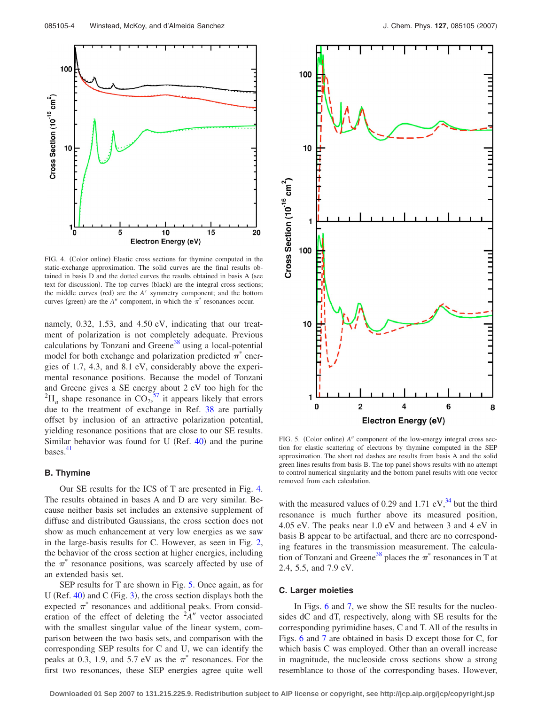<span id="page-3-0"></span>

FIG. 4. (Color online) Elastic cross sections for thymine computed in the static-exchange approximation. The solid curves are the final results obtained in basis D and the dotted curves the results obtained in basis A (see text for discussion). The top curves (black) are the integral cross sections; the middle curves (red) are the *A'* symmetry component; and the bottom curves (green) are the *A*<sup> $\prime\prime$ </sup> component, in which the  $\pi$ <sup>\*</sup> resonances occur.

namely, 0.32, 1.53, and 4.50 eV, indicating that our treatment of polarization is not completely adequate. Previous calculations by Tonzani and Greene<sup>38</sup> using a local-potential model for both exchange and polarization predicted  $\pi^*$  energies of 1.7, 4.3, and 8.1 eV, considerably above the experimental resonance positions. Because the model of Tonzani and Greene gives a SE energy about 2 eV too high for the  ${}^{2}\Pi_{u}$  shape resonance in CO<sub>2</sub>,<sup>[57](#page-5-34)</sup> it appears likely that errors due to the treatment of exchange in Ref. [38](#page-5-14) are partially offset by inclusion of an attractive polarization potential, yielding resonance positions that are close to our SE results. Similar behavior was found for U (Ref.  $40$ ) and the purine bases. $41$ 

#### **B. Thymine**

Our SE results for the ICS of T are presented in Fig. [4.](#page-3-0) The results obtained in bases A and D are very similar. Because neither basis set includes an extensive supplement of diffuse and distributed Gaussians, the cross section does not show as much enhancement at very low energies as we saw in the large-basis results for C. However, as seen in Fig. [2,](#page-2-0) the behavior of the cross section at higher energies, including the  $\pi^*$  resonance positions, was scarcely affected by use of an extended basis set.

SEP results for T are shown in Fig. [5.](#page-3-1) Once again, as for U (Ref.  $40$ ) and C (Fig. [3](#page-2-1)), the cross section displays both the expected  $\pi^*$  resonances and additional peaks. From consideration of the effect of deleting the  $A''$  vector associated with the smallest singular value of the linear system, comparison between the two basis sets, and comparison with the corresponding SEP results for C and U, we can identify the peaks at 0.3, 1.9, and 5.7 eV as the  $\pi^*$  resonances. For the first two resonances, these SEP energies agree quite well

<span id="page-3-1"></span>

FIG. 5. (Color online) A" component of the low-energy integral cross section for elastic scattering of electrons by thymine computed in the SEP approximation. The short red dashes are results from basis A and the solid green lines results from basis B. The top panel shows results with no attempt to control numerical singularity and the bottom panel results with one vector removed from each calculation.

with the measured values of 0.29 and 1.71 eV, $^{34}$  but the third resonance is much further above its measured position, 4.05 eV. The peaks near 1.0 eV and between 3 and 4 eV in basis B appear to be artifactual, and there are no corresponding features in the transmission measurement. The calculation of Tonzani and Greene<sup>38</sup> places the  $\pi^*$  resonances in T at 2.4, 5.5, and 7.9 eV.

## **C. Larger moieties**

In Figs. [6](#page-4-0) and [7,](#page-4-1) we show the SE results for the nucleosides dC and dT, respectively, along with SE results for the corresponding pyrimidine bases, C and T. All of the results in Figs. [6](#page-4-0) and [7](#page-4-1) are obtained in basis D except those for C, for which basis C was employed. Other than an overall increase in magnitude, the nucleoside cross sections show a strong resemblance to those of the corresponding bases. However,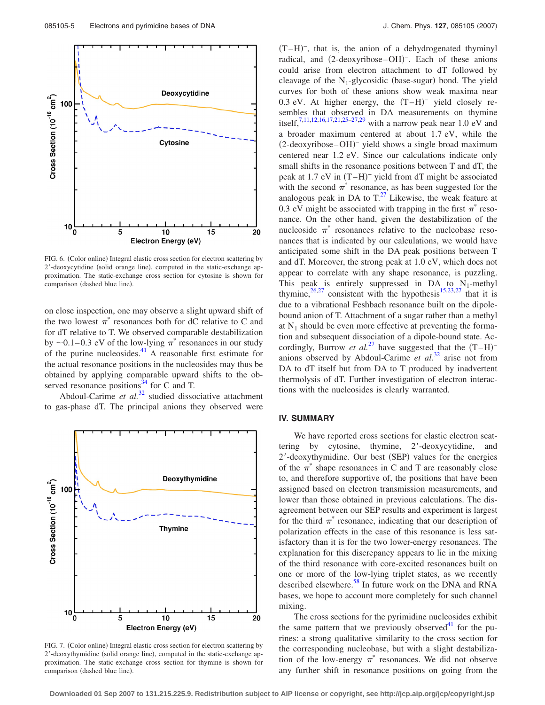<span id="page-4-0"></span>

FIG. 6. (Color online) Integral elastic cross section for electron scattering by 2'-deoxycytidine (solid orange line), computed in the static-exchange approximation. The static-exchange cross section for cytosine is shown for comparison (dashed blue line).

on close inspection, one may observe a slight upward shift of the two lowest  $\pi^*$  resonances both for dC relative to C and for dT relative to T. We observed comparable destabilization by  $\sim$  0.1–0.3 eV of the low-lying  $\pi^*$  resonances in our study of the purine nucleosides. $^{41}$  A reasonable first estimate for the actual resonance positions in the nucleosides may thus be obtained by applying comparable upward shifts to the observed resonance positions $34$  for C and T.

Abdoul-Carime *et al.*<sup>[32](#page-5-9)</sup> studied dissociative attachment to gas-phase dT. The principal anions they observed were

<span id="page-4-1"></span>

FIG. 7. (Color online) Integral elastic cross section for electron scattering by 2'-deoxythymidine (solid orange line), computed in the static-exchange approximation. The static-exchange cross section for thymine is shown for comparison (dashed blue line).

 $(T-H)^{-}$ , that is, the anion of a dehydrogenated thyminyl radical, and (2-deoxyribose-OH)<sup>-</sup>. Each of these anions could arise from electron attachment to dT followed by cleavage of the  $N_1$ -glycosidic (base-sugar) bond. The yield curves for both of these anions show weak maxima near 0.3 eV. At higher energy, the  $(T-H)^-$  yield closely resembles that observed in DA measurements on thymine itself,<sup>7[,11,](#page-5-35)[12](#page-5-36)[,16](#page-5-5)[,17,](#page-5-37)[21,](#page-5-11)[25–](#page-5-38)[27,](#page-5-7)[29](#page-5-39)</sup> with a narrow peak near 1.0 eV and a broader maximum centered at about 1.7 eV, while the (2-deoxyribose-OH)<sup>-</sup> yield shows a single broad maximum centered near 1.2 eV. Since our calculations indicate only small shifts in the resonance positions between T and dT, the peak at  $1.7$  eV in  $(T-H)^-$  yield from dT might be associated with the second  $\pi^*$  resonance, as has been suggested for the analogous peak in DA to  $T<sup>27</sup>$  Likewise, the weak feature at 0.3 eV might be associated with trapping in the first  $\pi^*$  resonance. On the other hand, given the destabilization of the nucleoside  $\pi^*$  resonances relative to the nucleobase resonances that is indicated by our calculations, we would have anticipated some shift in the DA peak positions between T and dT. Moreover, the strong peak at 1.0 eV, which does not appear to correlate with any shape resonance, is puzzling. This peak is entirely suppressed in DA to  $N_1$ -methyl thymine, $26,27$  $26,27$  consistent with the hypothesis<sup>15[,23,](#page-5-6)[27](#page-5-7)</sup> that it is due to a vibrational Feshbach resonance built on the dipolebound anion of T. Attachment of a sugar rather than a methyl at  $N_1$  should be even more effective at preventing the formation and subsequent dissociation of a dipole-bound state. Accordingly, Burrow *et al.*<sup>[27](#page-5-7)</sup> have suggested that the  $(T-H)^{-}$ anions observed by Abdoul-Carime *et al.*[32](#page-5-9) arise not from DA to dT itself but from DA to T produced by inadvertent thermolysis of dT. Further investigation of electron interactions with the nucleosides is clearly warranted.

#### **IV. SUMMARY**

We have reported cross sections for elastic electron scattering by cytosine, thymine, 2-deoxycytidine, and 2'-deoxythymidine. Our best (SEP) values for the energies of the  $\pi^*$  shape resonances in C and T are reasonably close to, and therefore supportive of, the positions that have been assigned based on electron transmission measurements, and lower than those obtained in previous calculations. The disagreement between our SEP results and experiment is largest for the third  $\pi^*$  resonance, indicating that our description of polarization effects in the case of this resonance is less satisfactory than it is for the two lower-energy resonances. The explanation for this discrepancy appears to lie in the mixing of the third resonance with core-excited resonances built on one or more of the low-lying triplet states, as we recently described elsewhere.<sup>58</sup> In future work on the DNA and RNA bases, we hope to account more completely for such channel mixing.

The cross sections for the pyrimidine nucleosides exhibit the same pattern that we previously observed $^{41}$  for the purines: a strong qualitative similarity to the cross section for the corresponding nucleobase, but with a slight destabilization of the low-energy  $\pi^*$  resonances. We did not observe any further shift in resonance positions on going from the

**Downloaded 01 Sep 2007 to 131.215.225.9. Redistribution subject to AIP license or copyright, see http://jcp.aip.org/jcp/copyright.jsp**